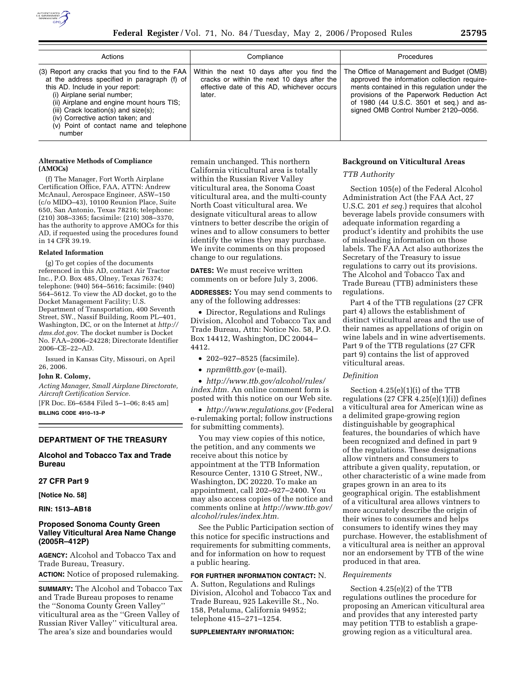

| Actions                                                                                                                                                                                                                                                                                                                                          | Compliance                                                                                                                                         | <b>Procedures</b>                                                                                                                                                                                                                                                          |
|--------------------------------------------------------------------------------------------------------------------------------------------------------------------------------------------------------------------------------------------------------------------------------------------------------------------------------------------------|----------------------------------------------------------------------------------------------------------------------------------------------------|----------------------------------------------------------------------------------------------------------------------------------------------------------------------------------------------------------------------------------------------------------------------------|
| (3) Report any cracks that you find to the FAA<br>at the address specified in paragraph (f) of<br>this AD. Include in your report:<br>(i) Airplane serial number;<br>(ii) Airplane and engine mount hours TIS;<br>(iii) Crack location(s) and size(s);<br>(iv) Corrective action taken; and<br>(v) Point of contact name and telephone<br>number | Within the next 10 days after you find the<br>cracks or within the next 10 days after the<br>effective date of this AD, whichever occurs<br>later. | The Office of Management and Budget (OMB)<br>approved the information collection require-<br>ments contained in this regulation under the<br>provisions of the Paperwork Reduction Act<br>of 1980 (44 U.S.C. 3501 et seq.) and as-<br>signed OMB Control Number 2120-0056. |

## **Alternative Methods of Compliance (AMOCs)**

(f) The Manager, Fort Worth Airplane Certification Office, FAA, ATTN: Andrew McAnaul, Aerospace Engineer, ASW–150 (c/o MIDO–43), 10100 Reunion Place, Suite 650, San Antonio, Texas 78216; telephone: (210) 308–3365; facsimile: (210) 308–3370, has the authority to approve AMOCs for this AD, if requested using the procedures found in 14 CFR 39.19.

### **Related Information**

(g) To get copies of the documents referenced in this AD, contact Air Tractor Inc., P.O. Box 485, Olney, Texas 76374; telephone: (940) 564–5616; facsimile: (940) 564–5612. To view the AD docket, go to the Docket Management Facility; U.S. Department of Transportation, 400 Seventh Street, SW., Nassif Building, Room PL–401, Washington, DC, or on the Internet at *http://*  dms.dot.gov. The docket number is Docket No. FAA–2006–24228; Directorate Identifier 2006–CE–22–AD.

Issued in Kansas City, Missouri, on April 26, 2006.

### **John R. Colomy,**

*Acting Manager, Small Airplane Directorate, Aircraft Certification Service.* 

[FR Doc. E6–6584 Filed 5–1–06; 8:45 am] **BILLING CODE 4910–13–P** 

### **DEPARTMENT OF THE TREASURY**

# **Alcohol and Tobacco Tax and Trade Bureau**

# **27 CFR Part 9**

**[Notice No. 58]** 

**RIN: 1513–AB18** 

# **Proposed Sonoma County Green Valley Viticultural Area Name Change (2005R–412P)**

**AGENCY:** Alcohol and Tobacco Tax and Trade Bureau, Treasury. **ACTION:** Notice of proposed rulemaking.

**SUMMARY:** The Alcohol and Tobacco Tax and Trade Bureau proposes to rename the ''Sonoma County Green Valley'' viticultural area as the ''Green Valley of Russian River Valley'' viticultural area. The area's size and boundaries would

remain unchanged. This northern California viticultural area is totally within the Russian River Valley viticultural area, the Sonoma Coast viticultural area, and the multi-county North Coast viticultural area. We designate viticultural areas to allow vintners to better describe the origin of wines and to allow consumers to better identify the wines they may purchase. We invite comments on this proposed change to our regulations.

**DATES:** We must receive written comments on or before July 3, 2006.

**ADDRESSES:** You may send comments to any of the following addresses:

• Director, Regulations and Rulings Division, Alcohol and Tobacco Tax and Trade Bureau, Attn: Notice No. 58, P.O. Box 14412, Washington, DC 20044– 4412.

• 202–927–8525 (facsimile).

• *nprm@ttb.gov* (e-mail).

• *http://www.ttb.gov/alcohol/rules/ index.htm.* An online comment form is posted with this notice on our Web site.

• *http://www.regulations.gov* (Federal e-rulemaking portal; follow instructions for submitting comments).

You may view copies of this notice, the petition, and any comments we receive about this notice by appointment at the TTB Information Resource Center, 1310 G Street, NW., Washington, DC 20220. To make an appointment, call 202–927–2400. You may also access copies of the notice and comments online at *http://www.ttb.gov/ alcohol/rules/index.htm.* 

See the Public Participation section of this notice for specific instructions and requirements for submitting comments, and for information on how to request a public hearing.

# **FOR FURTHER INFORMATION CONTACT:** N.

A. Sutton, Regulations and Rulings Division, Alcohol and Tobacco Tax and Trade Bureau, 925 Lakeville St., No. 158, Petaluma, California 94952; telephone 415–271–1254.

#### **SUPPLEMENTARY INFORMATION:**

### **Background on Viticultural Areas**

*TTB Authority* 

Section 105(e) of the Federal Alcohol Administration Act (the FAA Act, 27 U.S.C. 201 *et seq.*) requires that alcohol beverage labels provide consumers with adequate information regarding a product's identity and prohibits the use of misleading information on those labels. The FAA Act also authorizes the Secretary of the Treasury to issue regulations to carry out its provisions. The Alcohol and Tobacco Tax and Trade Bureau (TTB) administers these regulations.

Part 4 of the TTB regulations (27 CFR part 4) allows the establishment of distinct viticultural areas and the use of their names as appellations of origin on wine labels and in wine advertisements. Part 9 of the TTB regulations (27 CFR part 9) contains the list of approved viticultural areas.

#### *Definition*

Section 4.25(e)(1)(i) of the TTB regulations  $(27 \text{ CFR } 4.25(e)(1)(i))$  defines a viticultural area for American wine as a delimited grape-growing region distinguishable by geographical features, the boundaries of which have been recognized and defined in part 9 of the regulations. These designations allow vintners and consumers to attribute a given quality, reputation, or other characteristic of a wine made from grapes grown in an area to its geographical origin. The establishment of a viticultural area allows vintners to more accurately describe the origin of their wines to consumers and helps consumers to identify wines they may purchase. However, the establishment of a viticultural area is neither an approval nor an endorsement by TTB of the wine produced in that area.

#### *Requirements*

Section 4.25(e)(2) of the TTB regulations outlines the procedure for proposing an American viticultural area and provides that any interested party may petition TTB to establish a grapegrowing region as a viticultural area.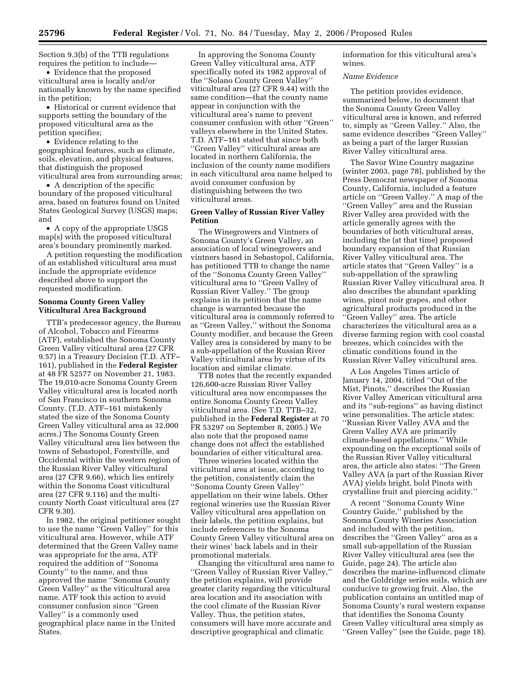Section 9.3(b) of the TTB regulations requires the petition to include—

• Evidence that the proposed viticultural area is locally and/or nationally known by the name specified in the petition;

• Historical or current evidence that supports setting the boundary of the proposed viticultural area as the petition specifies;

• Evidence relating to the geographical features, such as climate, soils, elevation, and physical features, that distinguish the proposed viticultural area from surrounding areas;

• A description of the specific boundary of the proposed viticultural area, based on features found on United States Geological Survey (USGS) maps; and

• A copy of the appropriate USGS map(s) with the proposed viticultural area's boundary prominently marked.

A petition requesting the modification of an established viticultural area must include the appropriate evidence described above to support the requested modification.

## **Sonoma County Green Valley Viticultural Area Background**

TTB's predecessor agency, the Bureau of Alcohol, Tobacco and Firearms (ATF), established the Sonoma County Green Valley viticultural area (27 CFR 9.57) in a Treasury Decision (T.D. ATF– 161), published in the **Federal Register**  at 48 FR 52577 on November 21, 1983. The 19,010-acre Sonoma County Green Valley viticultural area is located north of San Francisco in southern Sonoma County. (T.D. ATF–161 mistakenly stated the size of the Sonoma County Green Valley viticultural area as 32,000 acres.) The Sonoma County Green Valley viticultural area lies between the towns of Sebastopol, Forestville, and Occidental within the western region of the Russian River Valley viticultural area (27 CFR 9.66), which lies entirely within the Sonoma Coast viticultural area (27 CFR 9.116) and the multicounty North Coast viticultural area (27 CFR 9.30).

In 1982, the original petitioner sought to use the name ''Green Valley'' for this viticultural area. However, while ATF determined that the Green Valley name was appropriate for the area, ATF required the addition of ''Sonoma County'' to the name, and thus approved the name ''Sonoma County Green Valley'' as the viticultural area name. ATF took this action to avoid consumer confusion since ''Green Valley'' is a commonly used geographical place name in the United States.

In approving the Sonoma County Green Valley viticultural area, ATF specifically noted its 1982 approval of the ''Solano County Green Valley'' viticultural area (27 CFR 9.44) with the same condition—that the county name appear in conjunction with the viticultural area's name to prevent consumer confusion with other ''Green'' valleys elsewhere in the United States. T.D. ATF–161 stated that since both ''Green Valley'' viticultural areas are located in northern California, the inclusion of the county name modifiers in each viticultural area name helped to avoid consumer confusion by distinguishing between the two viticultural areas.

## **Green Valley of Russian River Valley Petition**

The Winegrowers and Vintners of Sonoma County's Green Valley, an association of local winegrowers and vintners based in Sebastopol, California, has petitioned TTB to change the name of the ''Sonoma County Green Valley'' viticultural area to ''Green Valley of Russian River Valley.'' The group explains in its petition that the name change is warranted because the viticultural area is commonly referred to as ''Green Valley,'' without the Sonoma County modifier, and because the Green Valley area is considered by many to be a sub-appellation of the Russian River Valley viticultural area by virtue of its location and similar climate.

TTB notes that the recently expanded 126,600-acre Russian River Valley viticultural area now encompasses the entire Sonoma County Green Valley viticultural area. (See T.D. TTB–32, published in the **Federal Register** at 70 FR 53297 on September 8, 2005.) We also note that the proposed name change does not affect the established boundaries of either viticultural area.

Three wineries located within the viticultural area at issue, according to the petition, consistently claim the ''Sonoma County Green Valley'' appellation on their wine labels. Other regional wineries use the Russian River Valley viticultural area appellation on their labels, the petition explains, but include references to the Sonoma County Green Valley viticultural area on their wines' back labels and in their promotional materials.

Changing the viticultural area name to ''Green Valley of Russian River Valley,'' the petition explains, will provide greater clarity regarding the viticultural area location and its association with the cool climate of the Russian River Valley. Thus, the petition states, consumers will have more accurate and descriptive geographical and climatic

information for this viticultural area's wines.

### *Name Evidence*

The petition provides evidence, summarized below, to document that the Sonoma County Green Valley viticultural area is known, and referred to, simply as ''Green Valley.'' Also, the same evidence describes ''Green Valley'' as being a part of the larger Russian River Valley viticultural area.

The Savor Wine Country magazine (winter 2003, page 78), published by the Press Democrat newspaper of Sonoma County, California, included a feature article on ''Green Valley.'' A map of the ''Green Valley'' area and the Russian River Valley area provided with the article generally agrees with the boundaries of both viticultural areas, including the (at that time) proposed boundary expansion of that Russian River Valley viticultural area. The article states that ''Green Valley'' is a sub-appellation of the sprawling Russian River Valley viticultural area. It also describes the abundant sparkling wines, pinot noir grapes, and other agricultural products produced in the ''Green Valley'' area. The article characterizes the viticultural area as a diverse farming region with cool coastal breezes, which coincides with the climatic conditions found in the Russian River Valley viticultural area.

A Los Angeles Times article of January 14, 2004, titled ''Out of the Mist, Pinots,'' describes the Russian River Valley American viticultural area and its ''sub-regions'' as having distinct wine personalities. The article states: ''Russian River Valley AVA and the Green Valley AVA are primarily climate-based appellations.'' While expounding on the exceptional soils of the Russian River Valley viticultural area, the article also states: ''The Green Valley AVA (a part of the Russian River AVA) yields bright, bold Pinots with crystalline fruit and piercing acidity.''

A recent ''Sonoma County Wine Country Guide,'' published by the Sonoma County Wineries Association and included with the petition, describes the ''Green Valley'' area as a small sub-appellation of the Russian River Valley viticultural area (see the Guide, page 24). The article also describes the marine-influenced climate and the Goldridge series soils, which are conducive to growing fruit. Also, the publication contains an untitled map of Sonoma County's rural western expanse that identifies the Sonoma County Green Valley viticultural area simply as ''Green Valley'' (see the Guide, page 18).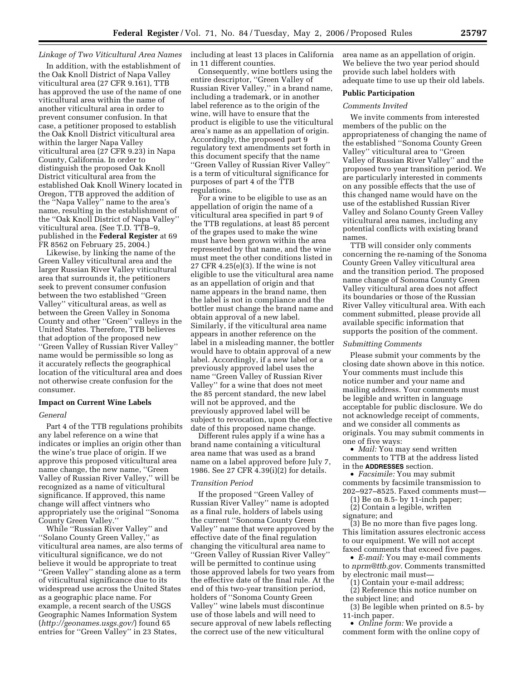# *Linkage of Two Viticultural Area Names*

In addition, with the establishment of the Oak Knoll District of Napa Valley viticultural area (27 CFR 9.161), TTB has approved the use of the name of one viticultural area within the name of another viticultural area in order to prevent consumer confusion. In that case, a petitioner proposed to establish the Oak Knoll District viticultural area within the larger Napa Valley viticultural area (27 CFR 9.23) in Napa County, California. In order to distinguish the proposed Oak Knoll District viticultural area from the established Oak Knoll Winery located in Oregon, TTB approved the addition of the ''Napa Valley'' name to the area's name, resulting in the establishment of the ''Oak Knoll District of Napa Valley'' viticultural area. (See T.D. TTB–9, published in the **Federal Register** at 69 FR 8562 on February 25, 2004.)

Likewise, by linking the name of the Green Valley viticultural area and the larger Russian River Valley viticultural area that surrounds it, the petitioners seek to prevent consumer confusion between the two established ''Green Valley'' viticultural areas, as well as between the Green Valley in Sonoma County and other ''Green'' valleys in the United States. Therefore, TTB believes that adoption of the proposed new ''Green Valley of Russian River Valley'' name would be permissible so long as it accurately reflects the geographical location of the viticultural area and does not otherwise create confusion for the consumer.

#### **Impact on Current Wine Labels**

#### *General*

Part 4 of the TTB regulations prohibits any label reference on a wine that indicates or implies an origin other than the wine's true place of origin. If we approve this proposed viticultural area name change, the new name, ''Green Valley of Russian River Valley,'' will be recognized as a name of viticultural significance. If approved, this name change will affect vintners who appropriately use the original ''Sonoma County Green Valley.''

While ''Russian River Valley'' and ''Solano County Green Valley,'' as viticultural area names, are also terms of viticultural significance, we do not believe it would be appropriate to treat ''Green Valley'' standing alone as a term of viticultural significance due to its widespread use across the United States as a geographic place name. For example, a recent search of the USGS Geographic Names Information System (*http://geonames.usgs.gov/*) found 65 entries for ''Green Valley'' in 23 States,

including at least 13 places in California in 11 different counties.

Consequently, wine bottlers using the entire descriptor, ''Green Valley of Russian River Valley,'' in a brand name, including a trademark, or in another label reference as to the origin of the wine, will have to ensure that the product is eligible to use the viticultural area's name as an appellation of origin. Accordingly, the proposed part 9 regulatory text amendments set forth in this document specify that the name ''Green Valley of Russian River Valley'' is a term of viticultural significance for purposes of part 4 of the TTB regulations.

For a wine to be eligible to use as an appellation of origin the name of a viticultural area specified in part 9 of the TTB regulations, at least 85 percent of the grapes used to make the wine must have been grown within the area represented by that name, and the wine must meet the other conditions listed in 27 CFR 4.25(e)(3). If the wine is not eligible to use the viticultural area name as an appellation of origin and that name appears in the brand name, then the label is not in compliance and the bottler must change the brand name and obtain approval of a new label. Similarly, if the viticultural area name appears in another reference on the label in a misleading manner, the bottler would have to obtain approval of a new label. Accordingly, if a new label or a previously approved label uses the name ''Green Valley of Russian River Valley'' for a wine that does not meet the 85 percent standard, the new label will not be approved, and the previously approved label will be subject to revocation, upon the effective date of this proposed name change.

Different rules apply if a wine has a brand name containing a viticultural area name that was used as a brand name on a label approved before July 7, 1986. See 27 CFR 4.39(i)(2) for details.

#### *Transition Period*

If the proposed ''Green Valley of Russian River Valley'' name is adopted as a final rule, holders of labels using the current ''Sonoma County Green Valley'' name that were approved by the effective date of the final regulation changing the viticultural area name to ''Green Valley of Russian River Valley'' will be permitted to continue using those approved labels for two years from the effective date of the final rule. At the end of this two-year transition period, holders of ''Sonoma County Green Valley'' wine labels must discontinue use of those labels and will need to secure approval of new labels reflecting the correct use of the new viticultural

area name as an appellation of origin. We believe the two year period should provide such label holders with adequate time to use up their old labels.

### **Public Participation**

#### *Comments Invited*

We invite comments from interested members of the public on the appropriateness of changing the name of the established ''Sonoma County Green Valley'' viticultural area to ''Green Valley of Russian River Valley'' and the proposed two year transition period. We are particularly interested in comments on any possible effects that the use of this changed name would have on the use of the established Russian River Valley and Solano County Green Valley viticultural area names, including any potential conflicts with existing brand names.

TTB will consider only comments concerning the re-naming of the Sonoma County Green Valley viticultural area and the transition period. The proposed name change of Sonoma County Green Valley viticultural area does not affect its boundaries or those of the Russian River Valley viticultural area. With each comment submitted, please provide all available specific information that supports the position of the comment.

### *Submitting Comments*

Please submit your comments by the closing date shown above in this notice. Your comments must include this notice number and your name and mailing address. Your comments must be legible and written in language acceptable for public disclosure. We do not acknowledge receipt of comments, and we consider all comments as originals. You may submit comments in one of five ways:

• *Mail:* You may send written comments to TTB at the address listed in the **ADDRESSES** section.

• *Facsimile:* You may submit comments by facsimile transmission to 202–927–8525. Faxed comments must—

(1) Be on 8.5- by 11-inch paper;

(2) Contain a legible, written signature; and

(3) Be no more than five pages long. This limitation assures electronic access to our equipment. We will not accept faxed comments that exceed five pages.

• *E-mail:* You may e-mail comments to *nprm@ttb.gov*. Comments transmitted by electronic mail must—

(1) Contain your e-mail address;

(2) Reference this notice number on the subject line; and

(3) Be legible when printed on 8.5- by 11-inch paper.

• *Online form:* We provide a comment form with the online copy of